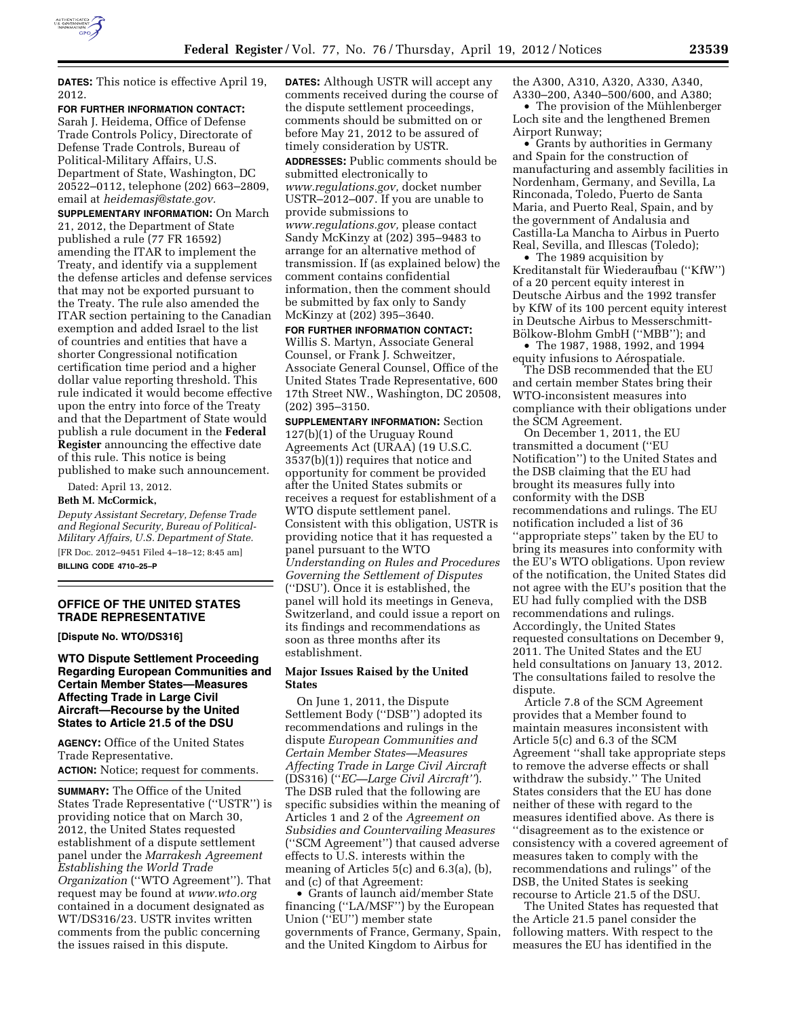

**DATES:** This notice is effective April 19, 2012.

**FOR FURTHER INFORMATION CONTACT:** 

Sarah J. Heidema, Office of Defense Trade Controls Policy, Directorate of Defense Trade Controls, Bureau of Political-Military Affairs, U.S. Department of State, Washington, DC 20522–0112, telephone (202) 663–2809, email at *[heidemasj@state.gov.](mailto:heidemasj@state.gov)* 

**SUPPLEMENTARY INFORMATION:** On March 21, 2012, the Department of State published a rule (77 FR 16592) amending the ITAR to implement the Treaty, and identify via a supplement the defense articles and defense services that may not be exported pursuant to the Treaty. The rule also amended the ITAR section pertaining to the Canadian exemption and added Israel to the list of countries and entities that have a shorter Congressional notification certification time period and a higher dollar value reporting threshold. This rule indicated it would become effective upon the entry into force of the Treaty and that the Department of State would publish a rule document in the **Federal Register** announcing the effective date of this rule. This notice is being published to make such announcement.

Dated: April 13, 2012.

#### **Beth M. McCormick,**

*Deputy Assistant Secretary, Defense Trade and Regional Security, Bureau of Political-Military Affairs, U.S. Department of State.*  [FR Doc. 2012–9451 Filed 4–18–12; 8:45 am] **BILLING CODE 4710–25–P** 

## **OFFICE OF THE UNITED STATES TRADE REPRESENTATIVE**

**[Dispute No. WTO/DS316]** 

**WTO Dispute Settlement Proceeding Regarding European Communities and Certain Member States—Measures Affecting Trade in Large Civil Aircraft—Recourse by the United States to Article 21.5 of the DSU** 

**AGENCY:** Office of the United States Trade Representative.

# **ACTION:** Notice; request for comments.

**SUMMARY:** The Office of the United States Trade Representative (''USTR'') is providing notice that on March 30, 2012, the United States requested establishment of a dispute settlement panel under the *Marrakesh Agreement Establishing the World Trade Organization* (''WTO Agreement''). That request may be found at *[www.wto.org](http://www.wto.org)*  contained in a document designated as WT/DS316/23. USTR invites written comments from the public concerning the issues raised in this dispute.

**DATES:** Although USTR will accept any comments received during the course of the dispute settlement proceedings, comments should be submitted on or before May 21, 2012 to be assured of timely consideration by USTR. **ADDRESSES:** Public comments should be submitted electronically to *[www.regulations.gov,](http://www.regulations.gov)* docket number USTR–2012–007. If you are unable to provide submissions to *[www.regulations.gov,](http://www.regulations.gov)* please contact Sandy McKinzy at (202) 395–9483 to arrange for an alternative method of transmission. If (as explained below) the comment contains confidential information, then the comment should be submitted by fax only to Sandy McKinzy at (202) 395–3640.

**FOR FURTHER INFORMATION CONTACT:**  Willis S. Martyn, Associate General Counsel, or Frank J. Schweitzer, Associate General Counsel, Office of the United States Trade Representative, 600 17th Street NW., Washington, DC 20508, (202) 395–3150.

**SUPPLEMENTARY INFORMATION:** Section 127(b)(1) of the Uruguay Round Agreements Act (URAA) (19 U.S.C. 3537(b)(1)) requires that notice and opportunity for comment be provided after the United States submits or receives a request for establishment of a WTO dispute settlement panel. Consistent with this obligation, USTR is providing notice that it has requested a panel pursuant to the WTO *Understanding on Rules and Procedures Governing the Settlement of Disputes*  (''DSU'). Once it is established, the panel will hold its meetings in Geneva, Switzerland, and could issue a report on its findings and recommendations as soon as three months after its establishment.

## **Major Issues Raised by the United States**

On June 1, 2011, the Dispute Settlement Body (''DSB'') adopted its recommendations and rulings in the dispute *European Communities and Certain Member States—Measures Affecting Trade in Large Civil Aircraft*  (DS316) (''*EC—Large Civil Aircraft''*). The DSB ruled that the following are specific subsidies within the meaning of Articles 1 and 2 of the *Agreement on Subsidies and Countervailing Measures*  (''SCM Agreement'') that caused adverse effects to U.S. interests within the meaning of Articles 5(c) and 6.3(a), (b), and (c) of that Agreement:

• Grants of launch aid/member State financing (''LA/MSF'') by the European Union (''EU'') member state governments of France, Germany, Spain, and the United Kingdom to Airbus for

the A300, A310, A320, A330, A340, A330–200, A340–500/600, and A380;

• The provision of the Mühlenberger Loch site and the lengthened Bremen Airport Runway;

• Grants by authorities in Germany and Spain for the construction of manufacturing and assembly facilities in Nordenham, Germany, and Sevilla, La Rinconada, Toledo, Puerto de Santa Maria, and Puerto Real, Spain, and by the government of Andalusia and Castilla-La Mancha to Airbus in Puerto Real, Sevilla, and Illescas (Toledo);

• The 1989 acquisition by Kreditanstalt für Wiederaufbau ("KfW") of a 20 percent equity interest in Deutsche Airbus and the 1992 transfer by KfW of its 100 percent equity interest in Deutsche Airbus to Messerschmitt-Bölkow-Blohm GmbH ("MBB"); and

• The 1987, 1988, 1992, and 1994 equity infusions to Aérospatiale.

The DSB recommended that the EU and certain member States bring their WTO-inconsistent measures into compliance with their obligations under the SCM Agreement.

On December 1, 2011, the EU transmitted a document (''EU Notification'') to the United States and the DSB claiming that the EU had brought its measures fully into conformity with the DSB recommendations and rulings. The EU notification included a list of 36 ''appropriate steps'' taken by the EU to bring its measures into conformity with the EU's WTO obligations. Upon review of the notification, the United States did not agree with the EU's position that the EU had fully complied with the DSB recommendations and rulings. Accordingly, the United States requested consultations on December 9, 2011. The United States and the EU held consultations on January 13, 2012. The consultations failed to resolve the dispute.

Article 7.8 of the SCM Agreement provides that a Member found to maintain measures inconsistent with Article 5(c) and 6.3 of the SCM Agreement ''shall take appropriate steps to remove the adverse effects or shall withdraw the subsidy.'' The United States considers that the EU has done neither of these with regard to the measures identified above. As there is ''disagreement as to the existence or consistency with a covered agreement of measures taken to comply with the recommendations and rulings'' of the DSB, the United States is seeking recourse to Article 21.5 of the DSU.

The United States has requested that the Article 21.5 panel consider the following matters. With respect to the measures the EU has identified in the